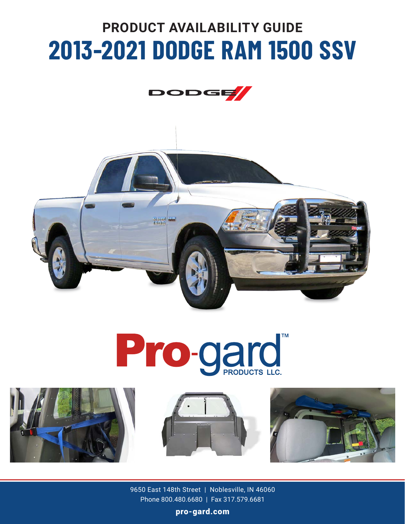# **PRODUCT AVAILABILITY GUIDE 2013-2021 DODGE RAM 1500 SSV**













9650 East 148th Street | Noblesville, IN 46060 Phone 800.480.6680 | Fax 317.579.6681

pro-gard.com